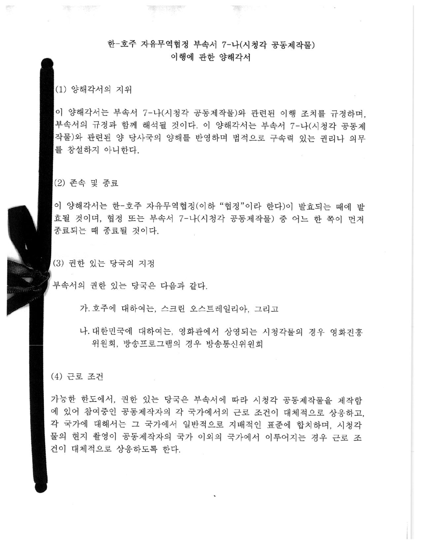# 한-호주 자유무역협정 부속서 7-나(시청각 공동제작물) 이행에 관한 양해각서

**不能可以行为的 医神经** 

39 1

(1) 양해각서의 지위

理 "哦!"

贾

이 양해각서는 부속서 7-나(시청각 공동제작물)와 관련된 이행 조치를 규정하며, 부속서의 규정과 함께 해석될 것이다. 이 양해각서는 부속서 7-나(시청각 공동제 작물)와 관련된 양 당사국의 양해를 반영하며 법적으로 구속력 있는 권리나 의무 를 창설하지 아니한다.

(2) 존속 및 종료

이 양해각서는 한-호주 자유무역협정(이하 "협정"이라 한다)이 발효되는 때에 발 효될 것이며, 협정 또는 부속서 7-나(시청각 공동제작물) 중 어느 한 쪽이 먼저 종료되는 때 종료될 것이다.

(3) 권한 있는 당국의 지정

부속서의 권한 있는 당국은 다음과 같다.

가. 호주에 대하여는, 스크린 오스트레일리아, 그리고

나. 대한민국에 대하여는, 영화관에서 상영되는 시청각물의 경우 영화진흥 위원회, 방송프로그램의 경우 방송통신위원회

#### (4) 근로 조건

가능한 한도에서, 권한 있는 당국은 부속서에 따라 시청각 공동제작물을 제작함 에 있어 참여중인 공동제작자의 각 국가에서의 근로 조건이 대체적으로 상응하고. 각 국가에 대해서는 그 국가에서 일반적으로 지배적인 표준에 합치하며, 시청각 물의 현지 촬영이 공동제작자의 국가 이외의 국가에서 이루어지는 경우 근로 조 건이 대체적으로 상응하도록 한다.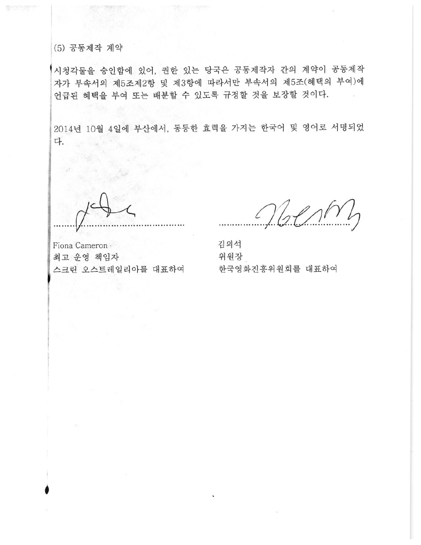# (5) 공동제작 계약

시청각물을 승인함에 있어, 권한 있는 당국은 공동제작자 간의 계약이 공동제작 자가 부속서의 제5조제2항 및 제3항에 따라서만 부속서의 제5조(혜택의 부여)에 언급된 혜택을 부여 또는 배분할 수 있도록 규정할 것을 보장할 것이다.

2014년 10월 4일에 부산에서, 동등한 효력을 가지는 한국어 및 영어로 서명되었 다.

 $NblnN$ 

Fiona Cameron 최고 운영 책임자 스크린 오스트레일리아를 대표하여

김의석 위원장 한국영화진흥위원회를 대표하여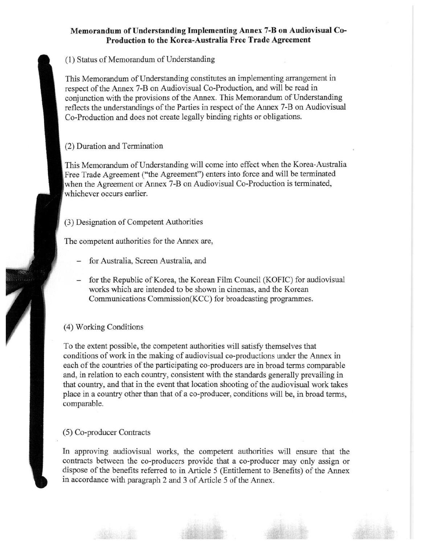## Memorandum of Understanding Implementing Annex 7-B on Audiovisual Co-Production to the Korea-Australia Free Trade Agreement

(1) Status of Memorandum of Understanding

This Memorandum of Understanding constitutes an implementing arrangement in respect of the Annex 7-B on Audiovisual Co-Production, and will be read in conjunction with the provisions of the Annex. This Memorandum of Understanding reflects the understandings of the Parties in respect of the Annex 7-B on Audiovisual Co-Production and does not create legally binding rights or obligations.

(2) Duration and Termination

This Memorandum of Understanding will come into effect when the Korea-Australia Free Trade Agreement ("the Agreement") enters into force and will be terminated when the Agreement or Annex 7-B on Audiovisual Co-Production is terminated, whichever occurs earlier.

(3) Designation of Competent Authorities

The competent authorities for the Annex are,

- for Australia, Screen Australia, and
- for the Republic of Korea, the Korean Film Council (KOFIC) for audiovisual works which are intended to be shown in cinemas, and the Korean Communications Commission(KCC) for broadcasting programmes.

## (4) Working Conditions

To the extent possible, the competent authorities will satisfy themselves that conditions of work in the making of audiovisual co-productions under the Annex in each of the countries of the participating co-producers are in broad terms comparable and, in relation to each country, consistent with the standards generally prevailing in that country, and that in the event that location shooting of the audiovisual work takes place in a country other than that of a co-producer, conditions will be, in broad terms, comparable.

### (5) Co-producer Contracts

In approving audiovisual works, the competent authorities will ensure that the contracts between the co-producers provide that a co-producer may only assign or dispose of the benefits referred to in Article 5 (Entitlement to Benefits) of the Annex in accordance with paragraph 2 and 3 of Article 5 of the Annex.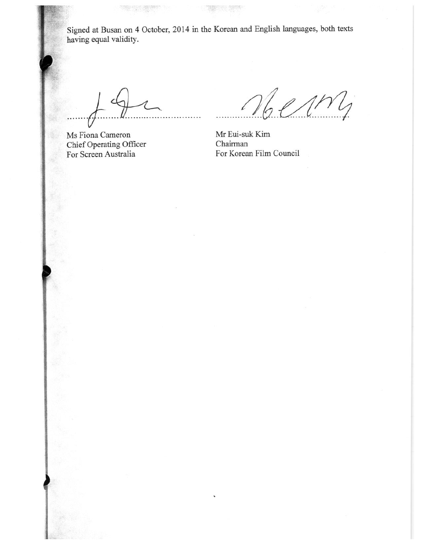Signed at Busan on 4 October, 2014 in the Korean and English languages, both texts having equal validity.

**THE REAL PROPERTY** 

Ms Fiona Cameron Chief Operating Officer For Screen Australia

 $\ell$ 1 $N$ 

Mr Eui-suk Kim Chairman For Korean Film Council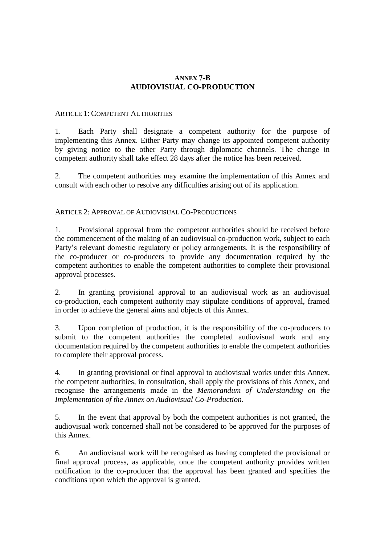## **ANNEX 7-B AUDIOVISUAL CO-PRODUCTION**

#### ARTICLE 1: COMPETENT AUTHORITIES

1. Each Party shall designate a competent authority for the purpose of implementing this Annex. Either Party may change its appointed competent authority by giving notice to the other Party through diplomatic channels. The change in competent authority shall take effect 28 days after the notice has been received.

2. The competent authorities may examine the implementation of this Annex and consult with each other to resolve any difficulties arising out of its application.

### ARTICLE 2: APPROVAL OF AUDIOVISUAL CO-PRODUCTIONS

1. Provisional approval from the competent authorities should be received before the commencement of the making of an audiovisual co-production work, subject to each Party's relevant domestic regulatory or policy arrangements. It is the responsibility of the co-producer or co-producers to provide any documentation required by the competent authorities to enable the competent authorities to complete their provisional approval processes.

2. In granting provisional approval to an audiovisual work as an audiovisual co-production, each competent authority may stipulate conditions of approval, framed in order to achieve the general aims and objects of this Annex.

3. Upon completion of production, it is the responsibility of the co-producers to submit to the competent authorities the completed audiovisual work and any documentation required by the competent authorities to enable the competent authorities to complete their approval process.

4. In granting provisional or final approval to audiovisual works under this Annex, the competent authorities, in consultation, shall apply the provisions of this Annex, and recognise the arrangements made in the *Memorandum of Understanding on the Implementation of the Annex on Audiovisual Co-Production*.

5. In the event that approval by both the competent authorities is not granted, the audiovisual work concerned shall not be considered to be approved for the purposes of this Annex.

6. An audiovisual work will be recognised as having completed the provisional or final approval process, as applicable, once the competent authority provides written notification to the co-producer that the approval has been granted and specifies the conditions upon which the approval is granted.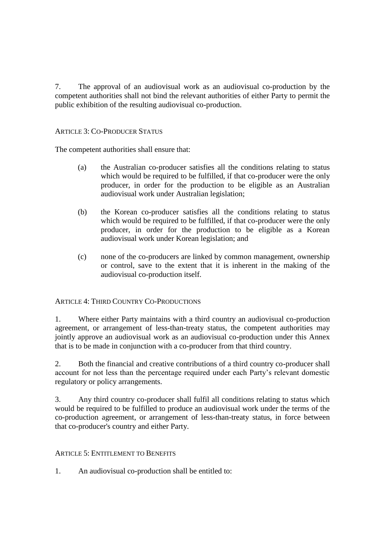7. The approval of an audiovisual work as an audiovisual co-production by the competent authorities shall not bind the relevant authorities of either Party to permit the public exhibition of the resulting audiovisual co-production.

## ARTICLE 3: CO-PRODUCER STATUS

The competent authorities shall ensure that:

- (a) the Australian co-producer satisfies all the conditions relating to status which would be required to be fulfilled, if that co-producer were the only producer, in order for the production to be eligible as an Australian audiovisual work under Australian legislation;
- (b) the Korean co-producer satisfies all the conditions relating to status which would be required to be fulfilled, if that co-producer were the only producer, in order for the production to be eligible as a Korean audiovisual work under Korean legislation; and
- (c) none of the co-producers are linked by common management, ownership or control, save to the extent that it is inherent in the making of the audiovisual co-production itself.

ARTICLE 4: THIRD COUNTRY CO-PRODUCTIONS

1. Where either Party maintains with a third country an audiovisual co-production agreement, or arrangement of less-than-treaty status, the competent authorities may jointly approve an audiovisual work as an audiovisual co-production under this Annex that is to be made in conjunction with a co-producer from that third country.

2. Both the financial and creative contributions of a third country co-producer shall account for not less than the percentage required under each Party's relevant domestic regulatory or policy arrangements.

3. Any third country co-producer shall fulfil all conditions relating to status which would be required to be fulfilled to produce an audiovisual work under the terms of the co-production agreement, or arrangement of less-than-treaty status, in force between that co-producer's country and either Party.

### ARTICLE 5: ENTITLEMENT TO BENEFITS

1. An audiovisual co-production shall be entitled to: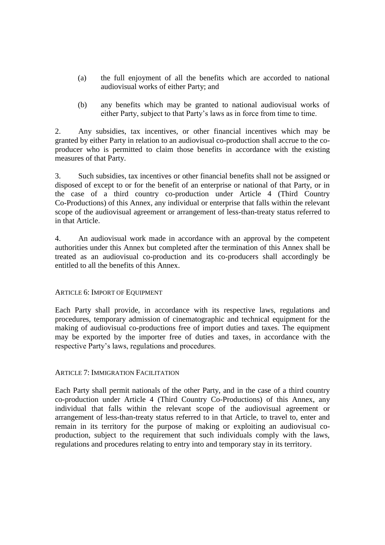- (a) the full enjoyment of all the benefits which are accorded to national audiovisual works of either Party; and
- (b) any benefits which may be granted to national audiovisual works of either Party, subject to that Party's laws as in force from time to time.

2. Any subsidies, tax incentives, or other financial incentives which may be granted by either Party in relation to an audiovisual co-production shall accrue to the coproducer who is permitted to claim those benefits in accordance with the existing measures of that Party.

3. Such subsidies, tax incentives or other financial benefits shall not be assigned or disposed of except to or for the benefit of an enterprise or national of that Party, or in the case of a third country co-production under Article 4 (Third Country Co-Productions) of this Annex, any individual or enterprise that falls within the relevant scope of the audiovisual agreement or arrangement of less-than-treaty status referred to in that Article.

4. An audiovisual work made in accordance with an approval by the competent authorities under this Annex but completed after the termination of this Annex shall be treated as an audiovisual co-production and its co-producers shall accordingly be entitled to all the benefits of this Annex.

### ARTICLE 6: IMPORT OF EQUIPMENT

Each Party shall provide, in accordance with its respective laws, regulations and procedures, temporary admission of cinematographic and technical equipment for the making of audiovisual co-productions free of import duties and taxes. The equipment may be exported by the importer free of duties and taxes, in accordance with the respective Party's laws, regulations and procedures.

### ARTICLE 7: IMMIGRATION FACILITATION

Each Party shall permit nationals of the other Party, and in the case of a third country co-production under Article 4 (Third Country Co-Productions) of this Annex, any individual that falls within the relevant scope of the audiovisual agreement or arrangement of less-than-treaty status referred to in that Article, to travel to, enter and remain in its territory for the purpose of making or exploiting an audiovisual coproduction, subject to the requirement that such individuals comply with the laws, regulations and procedures relating to entry into and temporary stay in its territory.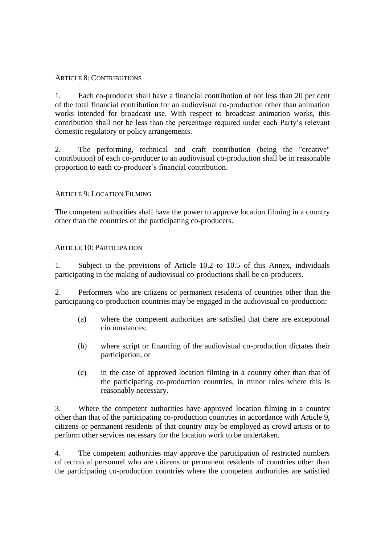#### ARTICLE 8: CONTRIBUTIONS

1. Each co-producer shall have a financial contribution of not less than 20 per cent of the total financial contribution for an audiovisual co-production other than animation works intended for broadcast use. With respect to broadcast animation works, this contribution shall not be less than the percentage required under each Party's relevant domestic regulatory or policy arrangements.

2. The performing, technical and craft contribution (being the "creative" contribution) of each co-producer to an audiovisual co-production shall be in reasonable proportion to each co-producer's financial contribution.

### ARTICLE 9: LOCATION FILMING

The competent authorities shall have the power to approve location filming in a country other than the countries of the participating co-producers.

#### $ARTICLE 10. PARTICIPATION$

1. Subject to the provisions of Article 10.2 to 10.5 of this Annex, individuals participating in the making of audiovisual co-productions shall be co-producers.

2. Performers who are citizens or permanent residents of countries other than the participating co-production countries may be engaged in the audiovisual co-production:

- (a) where the competent authorities are satisfied that there are exceptional circumstances;
- (b) where script or financing of the audiovisual co-production dictates their participation; or
- (c) in the case of approved location filming in a country other than that of the participating co-production countries, in minor roles where this is reasonably necessary.

3. Where the competent authorities have approved location filming in a country other than that of the participating co-production countries in accordance with Article 9, citizens or permanent residents of that country may be employed as crowd artists or to perform other services necessary for the location work to be undertaken.

4. The competent authorities may approve the participation of restricted numbers of technical personnel who are citizens or permanent residents of countries other than the participating co-production countries where the competent authorities are satisfied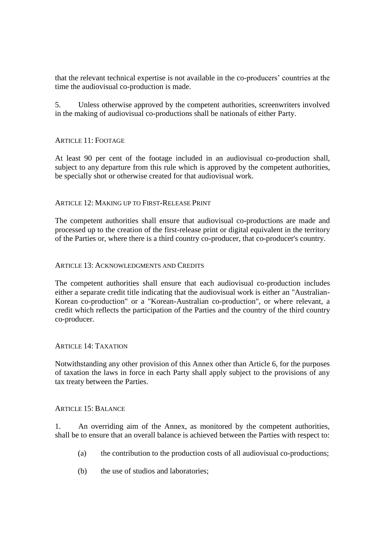that the relevant technical expertise is not available in the co-producers' countries at the time the audiovisual co-production is made.

5. Unless otherwise approved by the competent authorities, screenwriters involved in the making of audiovisual co-productions shall be nationals of either Party.

## ARTICLE 11: FOOTAGE

At least 90 per cent of the footage included in an audiovisual co-production shall, subject to any departure from this rule which is approved by the competent authorities, be specially shot or otherwise created for that audiovisual work.

### ARTICLE 12: MAKING UP TO FIRST-RELEASE PRINT

The competent authorities shall ensure that audiovisual co-productions are made and processed up to the creation of the first-release print or digital equivalent in the territory of the Parties or, where there is a third country co-producer, that co-producer's country.

#### ARTICLE 13: ACKNOWLEDGMENTS AND CREDITS

The competent authorities shall ensure that each audiovisual co-production includes either a separate credit title indicating that the audiovisual work is either an "Australian-Korean co-production" or a "Korean-Australian co-production", or where relevant, a credit which reflects the participation of the Parties and the country of the third country co-producer.

### ARTICLE 14: TAXATION

Notwithstanding any other provision of this Annex other than Article 6, for the purposes of taxation the laws in force in each Party shall apply subject to the provisions of any tax treaty between the Parties.

#### ARTICLE 15: BALANCE

1. An overriding aim of the Annex, as monitored by the competent authorities, shall be to ensure that an overall balance is achieved between the Parties with respect to:

- (a) the contribution to the production costs of all audiovisual co-productions;
- (b) the use of studios and laboratories;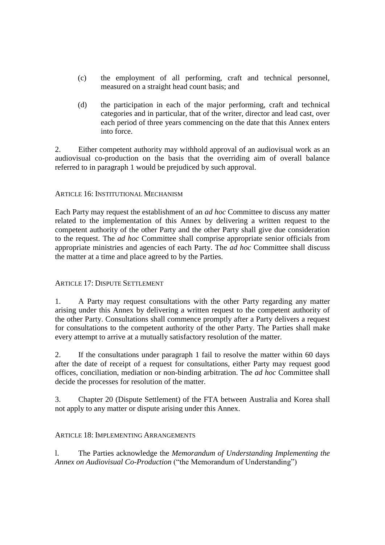- (c) the employment of all performing, craft and technical personnel, measured on a straight head count basis; and
- (d) the participation in each of the major performing, craft and technical categories and in particular, that of the writer, director and lead cast, over each period of three years commencing on the date that this Annex enters into force.

2. Either competent authority may withhold approval of an audiovisual work as an audiovisual co-production on the basis that the overriding aim of overall balance referred to in paragraph 1 would be prejudiced by such approval.

## ARTICLE 16: INSTITUTIONAL MECHANISM

Each Party may request the establishment of an *ad hoc* Committee to discuss any matter related to the implementation of this Annex by delivering a written request to the competent authority of the other Party and the other Party shall give due consideration to the request. The *ad hoc* Committee shall comprise appropriate senior officials from appropriate ministries and agencies of each Party. The *ad hoc* Committee shall discuss the matter at a time and place agreed to by the Parties.

### ARTICLE 17: DISPUTE SETTLEMENT

1. A Party may request consultations with the other Party regarding any matter arising under this Annex by delivering a written request to the competent authority of the other Party. Consultations shall commence promptly after a Party delivers a request for consultations to the competent authority of the other Party. The Parties shall make every attempt to arrive at a mutually satisfactory resolution of the matter.

2. If the consultations under paragraph 1 fail to resolve the matter within 60 days after the date of receipt of a request for consultations, either Party may request good offices, conciliation, mediation or non-binding arbitration. The *ad hoc* Committee shall decide the processes for resolution of the matter.

3. Chapter 20 (Dispute Settlement) of the FTA between Australia and Korea shall not apply to any matter or dispute arising under this Annex.

### ARTICLE 18: IMPLEMENTING ARRANGEMENTS

l. The Parties acknowledge the *Memorandum of Understanding Implementing the Annex on Audiovisual Co-Production* ("the Memorandum of Understanding")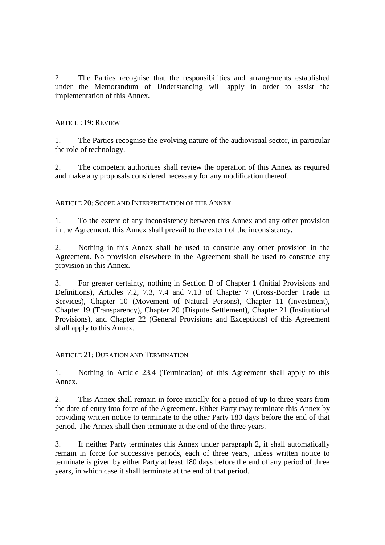2. The Parties recognise that the responsibilities and arrangements established under the Memorandum of Understanding will apply in order to assist the implementation of this Annex.

### ARTICLE 19: REVIEW

1. The Parties recognise the evolving nature of the audiovisual sector, in particular the role of technology.

2. The competent authorities shall review the operation of this Annex as required and make any proposals considered necessary for any modification thereof.

ARTICLE 20: SCOPE AND INTERPRETATION OF THE ANNEX

1. To the extent of any inconsistency between this Annex and any other provision in the Agreement, this Annex shall prevail to the extent of the inconsistency.

2. Nothing in this Annex shall be used to construe any other provision in the Agreement. No provision elsewhere in the Agreement shall be used to construe any provision in this Annex.

3. For greater certainty, nothing in Section B of Chapter 1 (Initial Provisions and Definitions), Articles 7.2, 7.3, 7.4 and 7.13 of Chapter 7 (Cross-Border Trade in Services), Chapter 10 (Movement of Natural Persons), Chapter 11 (Investment), Chapter 19 (Transparency), Chapter 20 (Dispute Settlement), Chapter 21 (Institutional Provisions), and Chapter 22 (General Provisions and Exceptions) of this Agreement shall apply to this Annex.

### ARTICLE  $21 \cdot$  DURATION AND TERMINATION

1. Nothing in Article 23.4 (Termination) of this Agreement shall apply to this Annex.

2. This Annex shall remain in force initially for a period of up to three years from the date of entry into force of the Agreement. Either Party may terminate this Annex by providing written notice to terminate to the other Party 180 days before the end of that period. The Annex shall then terminate at the end of the three years.

3. If neither Party terminates this Annex under paragraph 2, it shall automatically remain in force for successive periods, each of three years, unless written notice to terminate is given by either Party at least 180 days before the end of any period of three years, in which case it shall terminate at the end of that period.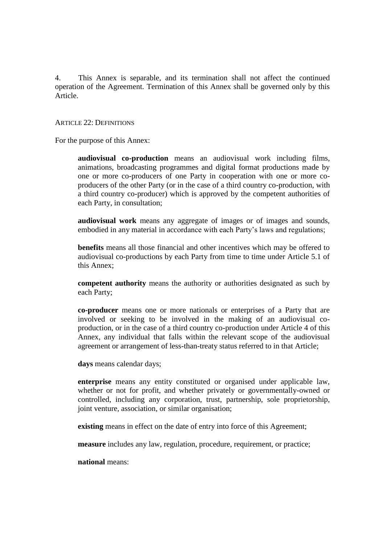4. This Annex is separable, and its termination shall not affect the continued operation of the Agreement. Termination of this Annex shall be governed only by this Article.

#### ARTICLE 22: DEFINITIONS

For the purpose of this Annex:

**audiovisual co-production** means an audiovisual work including films, animations, broadcasting programmes and digital format productions made by one or more co-producers of one Party in cooperation with one or more coproducers of the other Party (or in the case of a third country co-production, with a third country co-producer) which is approved by the competent authorities of each Party, in consultation;

**audiovisual work** means any aggregate of images or of images and sounds, embodied in any material in accordance with each Party's laws and regulations;

**benefits** means all those financial and other incentives which may be offered to audiovisual co-productions by each Party from time to time under Article 5.1 of this Annex;

**competent authority** means the authority or authorities designated as such by each Party;

**co-producer** means one or more nationals or enterprises of a Party that are involved or seeking to be involved in the making of an audiovisual coproduction, or in the case of a third country co-production under Article 4 of this Annex, any individual that falls within the relevant scope of the audiovisual agreement or arrangement of less-than-treaty status referred to in that Article;

**days** means calendar days;

**enterprise** means any entity constituted or organised under applicable law, whether or not for profit, and whether privately or governmentally-owned or controlled, including any corporation, trust, partnership, sole proprietorship, joint venture, association, or similar organisation;

**existing** means in effect on the date of entry into force of this Agreement;

**measure** includes any law, regulation, procedure, requirement, or practice;

**national** means: